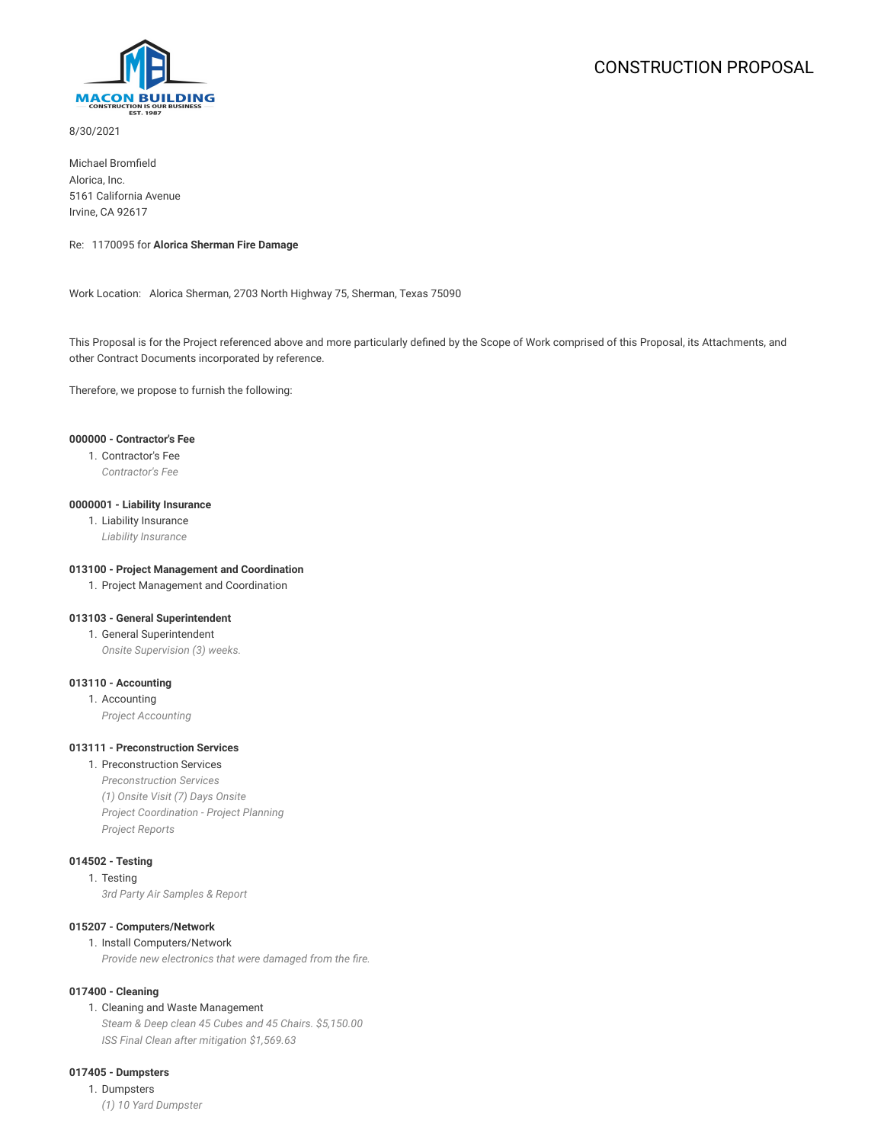

8/30/2021

Michael Bromfield Alorica, Inc. 5161 California Avenue Irvine, CA 92617

## Re: 1170095 for **Alorica Sherman Fire Damage**

Work Location: Alorica Sherman, 2703 North Highway 75, Sherman, Texas 75090

This Proposal is for the Project referenced above and more particularly defined by the Scope of Work comprised of this Proposal, its Attachments, and other Contract Documents incorporated by reference.

Therefore, we propose to furnish the following:

## **000000 - Contractor's Fee**

1. Contractor's Fee

*Contractor's Fee*

#### **0000001 - Liability Insurance**

1. Liability Insurance *Liability Insurance*

#### **013100 - Project Management and Coordination**

1. Project Management and Coordination

## **013103 - General Superintendent**

1. General Superintendent

*Onsite Supervision (3) weeks.*

## **013110 - Accounting**

1. Accounting *Project Accounting*

#### **013111 - Preconstruction Services**

1. Preconstruction Services *Preconstruction Services (1) Onsite Visit (7) Days Onsite Project Coordination - Project Planning Project Reports*

## **014502 - Testing**

1. Testing *3rd Party Air Samples & Report*

#### **015207 - Computers/Network**

#### 1. Install Computers/Network

*Provide new electronics that were damaged from the fire.*

## **017400 - Cleaning**

1. Cleaning and Waste Management

*Steam & Deep clean 45 Cubes and 45 Chairs. \$5,150.00 ISS Final Clean after mitigation \$1,569.63*

## **017405 - Dumpsters**

1. Dumpsters *(1) 10 Yard Dumpster*

# CONSTRUCTION PROPOSAL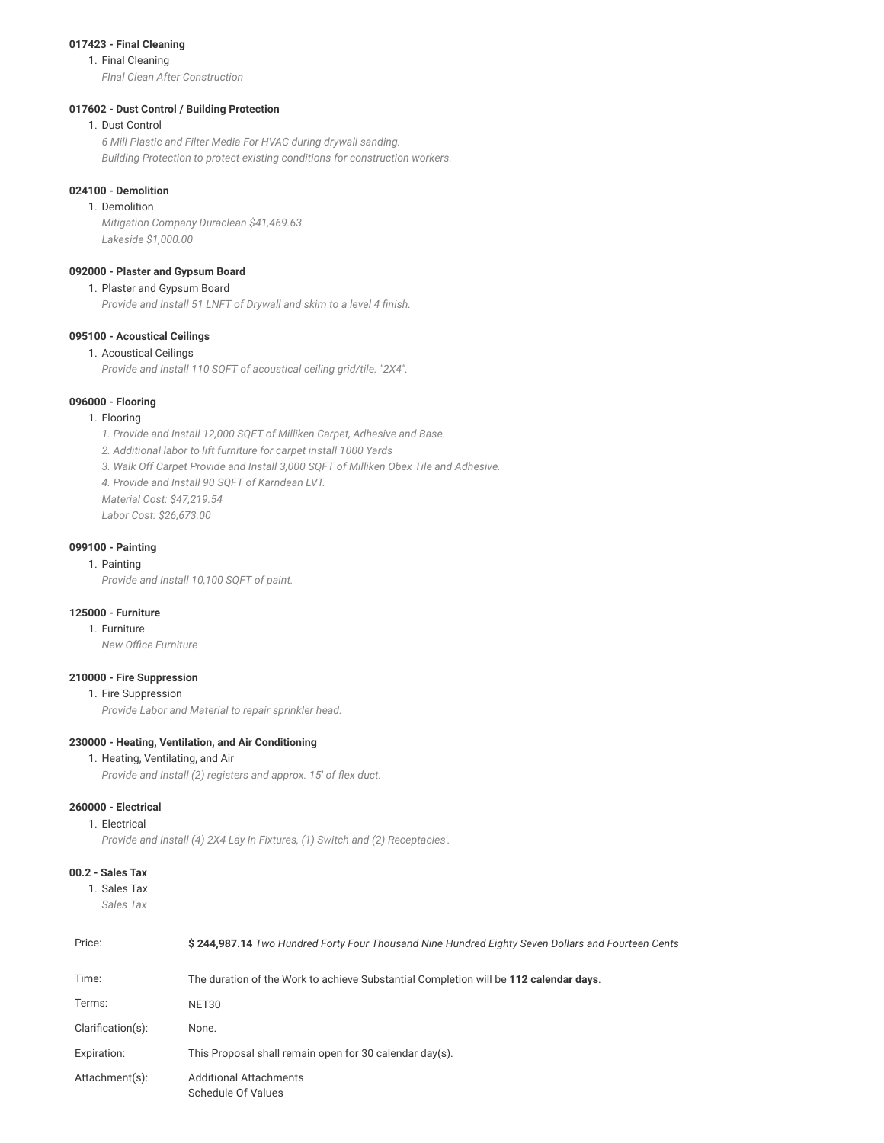#### **017423 - Final Cleaning**

#### 1. Final Cleaning

*FInal Clean After Construction*

## **017602 - Dust Control / Building Protection**

## 1. Dust Control

*6 Mill Plastic and Filter Media For HVAC during drywall sanding. Building Protection to protect existing conditions for construction workers.*

## **024100 - Demolition**

1. Demolition *Mitigation Company Duraclean \$41,469.63 Lakeside \$1,000.00*

## **092000 - Plaster and Gypsum Board**

## 1. Plaster and Gypsum Board

*Provide and Install 51 LNFT of Drywall and skim to a level 4 finish.*

## **095100 - Acoustical Ceilings**

## 1. Acoustical Ceilings

*Provide and Install 110 SQFT of acoustical ceiling grid/tile. "2X4".*

#### **096000 - Flooring**

## 1. Flooring

*1. Provide and Install 12,000 SQFT of Milliken Carpet, Adhesive and Base.*

- *2. Additional labor to lift furniture for carpet install 1000 Yards*
- *3. Walk Off Carpet Provide and Install 3,000 SQFT of Milliken Obex Tile and Adhesive.*
- *4. Provide and Install 90 SQFT of Karndean LVT.*
- *Material Cost: \$47,219.54*
- *Labor Cost: \$26,673.00*

## **099100 - Painting**

## 1. Painting

*Provide and Install 10,100 SQFT of paint.*

## **125000 - Furniture**

## 1. Furniture

*New Office Furniture*

## **210000 - Fire Suppression**

1. Fire Suppression

*Provide Labor and Material to repair sprinkler head.*

## **230000 - Heating, Ventilation, and Air Conditioning**

## 1. Heating, Ventilating, and Air

*Provide and Install (2) registers and approx. 15' of flex duct.*

## **260000 - Electrical**

## 1. Electrical

*Provide and Install (4) 2X4 Lay In Fixtures, (1) Switch and (2) Receptacles'.*

## **00.2 - Sales Tax**

```
1. Sales Tax
Sales Tax
```

| Price:               | \$244,987.14 Two Hundred Forty Four Thousand Nine Hundred Eighty Seven Dollars and Fourteen Cents |  |
|----------------------|---------------------------------------------------------------------------------------------------|--|
| Time:                | The duration of the Work to achieve Substantial Completion will be 112 calendar days.             |  |
| Terms:               | NET30                                                                                             |  |
| $Clarification(s)$ : | None.                                                                                             |  |
| Expiration:          | This Proposal shall remain open for 30 calendar day(s).                                           |  |
| Attachment(s):       | <b>Additional Attachments</b><br>Schedule Of Values                                               |  |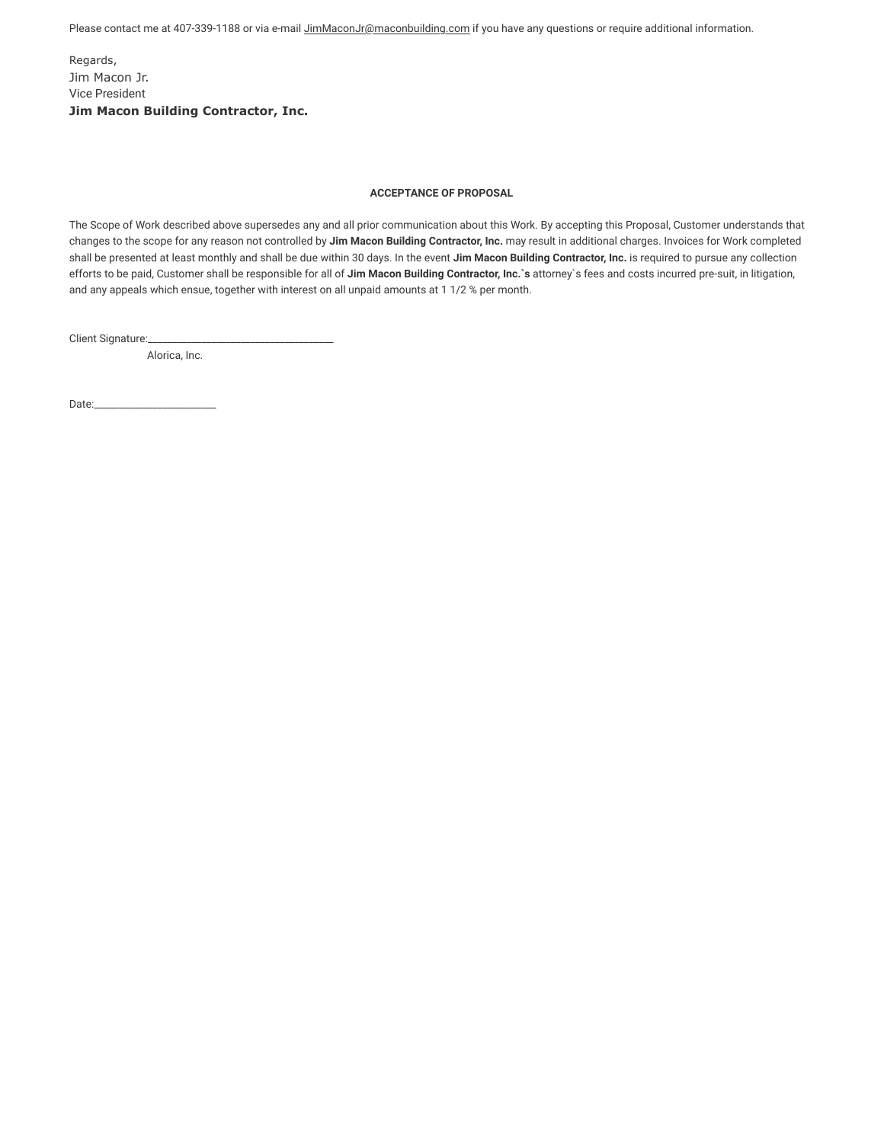Please contact me at 407-339-1188 or via e-mail JimMaconJr@maconbuilding.com if you have any questions or require additional information.

Regards, Jim Macon Jr. Vice President **Jim Macon Building Contractor, Inc.**

## **ACCEPTANCE OF PROPOSAL**

The Scope of Work described above supersedes any and all prior communication about this Work. By accepting this Proposal, Customer understands that changes to the scope for any reason not controlled by **Jim Macon Building Contractor, Inc.** may result in additional charges. Invoices for Work completed shall be presented at least monthly and shall be due within 30 days. In the event **Jim Macon Building Contractor, Inc.** is required to pursue any collection efforts to be paid, Customer shall be responsible for all of **Jim Macon Building Contractor, Inc.`s** attorney`s fees and costs incurred pre-suit, in litigation, and any appeals which ensue, together with interest on all unpaid amounts at 1 1/2 % per month.

Client Signature:

Alorica, Inc.

Date:\_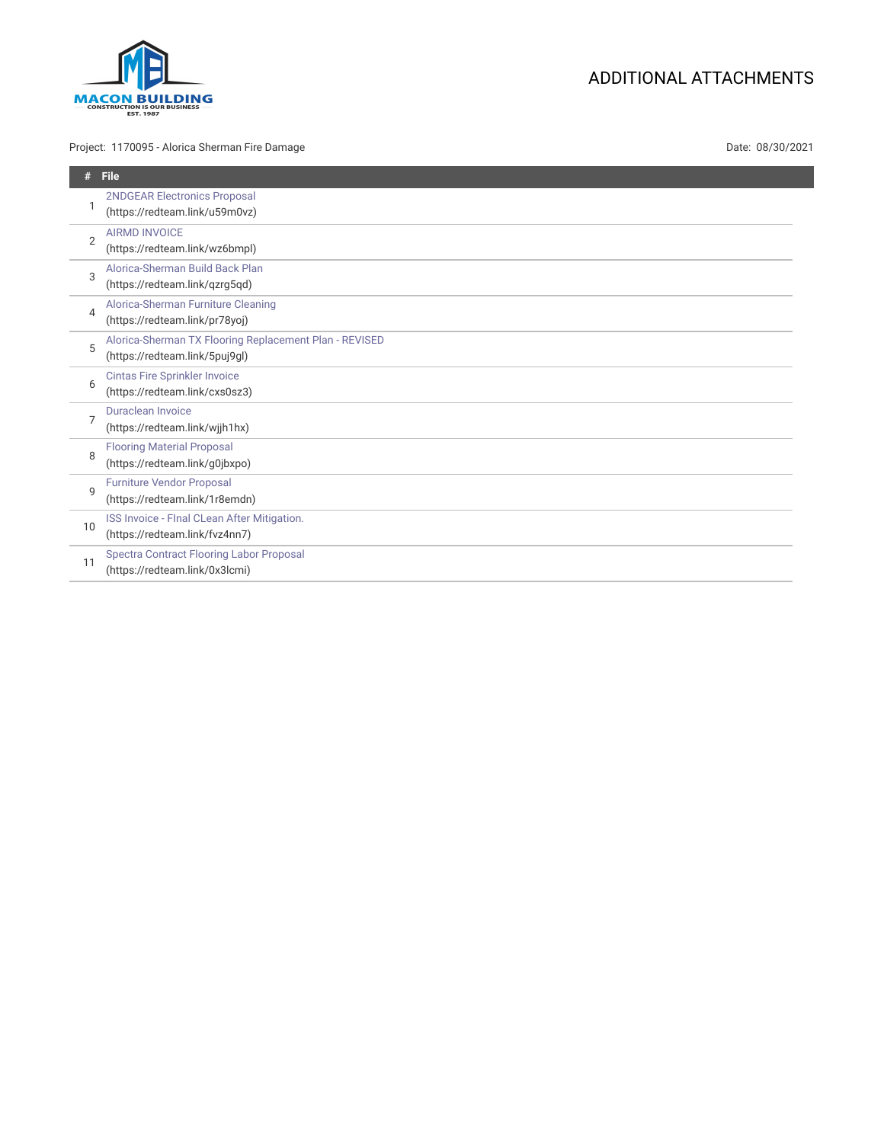

## Project: 1170095 - Alorica Sherman Fire Damage Date: 08/30/2021

# ADDITIONAL ATTACHMENTS

| #              | <b>File</b>                                                                              |
|----------------|------------------------------------------------------------------------------------------|
|                | 2NDGEAR Electronics Proposal<br>(https://redteam.link/u59m0vz)                           |
| $\overline{2}$ | <b>AIRMD INVOICE</b><br>(https://redteam.link/wz6bmpl)                                   |
| 3              | Alorica-Sherman Build Back Plan<br>(https://redteam.link/qzrg5qd)                        |
| 4              | Alorica-Sherman Furniture Cleaning<br>(https://redteam.link/pr78yoj)                     |
| 5              | Alorica-Sherman TX Flooring Replacement Plan - REVISED<br>(https://redteam.link/5puj9ql) |
| 6              | <b>Cintas Fire Sprinkler Invoice</b><br>(https://redteam.link/cxs0sz3)                   |
| 7              | <b>Duraclean Invoice</b><br>(https://redteam.link/wjjh1hx)                               |
| 8              | <b>Flooring Material Proposal</b><br>(https://redteam.link/g0jbxpo)                      |
| $\mathsf{Q}$   | <b>Furniture Vendor Proposal</b><br>(https://redteam.link/1r8emdn)                       |
| 10             | ISS Invoice - Flnal CLean After Mitigation.<br>(https://redteam.link/fvz4nn7)            |
| 11             | <b>Spectra Contract Flooring Labor Proposal</b><br>(https://redteam.link/0x3lcmi)        |